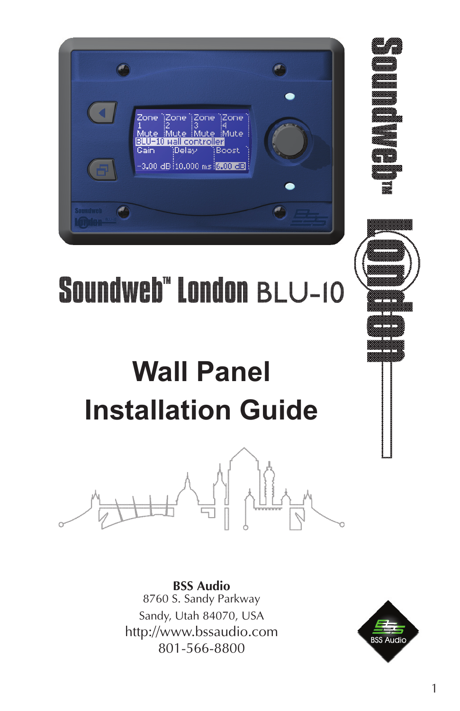| Zone (Zone ) Zone (Zone)<br>Mute Mute Mute Mute<br>BLU-10 wall controller<br>Gain Delay Boost<br>$-3.00$ dB $10.000$ ms $[6.00$ dB $]$ |  |
|----------------------------------------------------------------------------------------------------------------------------------------|--|
| <b>Soundweb</b>                                                                                                                        |  |



# **Soundweb" London BLU-10**

# **Wall Panel Installation Guide**



**BSS Audio** 8760 S. Sandy Parkway Sandy, Utah 84070, USA http://www.bssaudio.com 801-566-8800

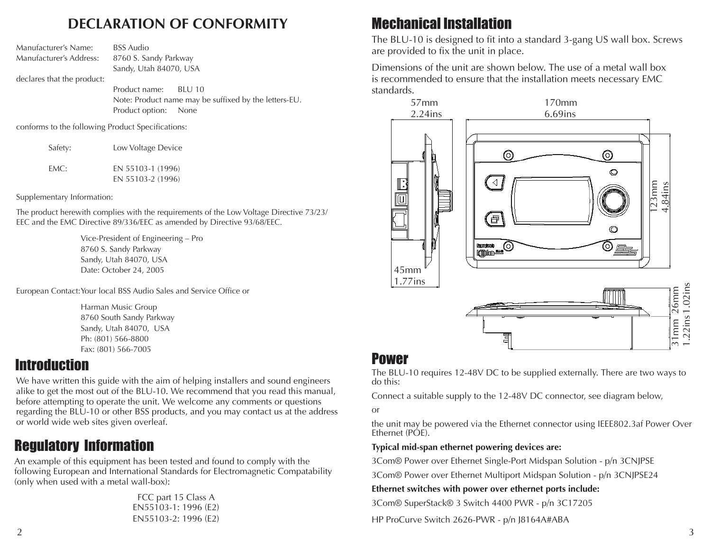#### **DECLARATION OF CONFORMITY**

by the letters-EU.

| Manufacturer's Name:       | <b>BSS</b> Audio                   |  |
|----------------------------|------------------------------------|--|
| Manufacturer's Address:    | 8760 S. Sandy Parkway              |  |
|                            | Sandy, Utah 84070, USA             |  |
| declares that the product: |                                    |  |
|                            | Product name: BLU 10               |  |
|                            | Note: Product name may be suffixed |  |
|                            | Product option: None               |  |

conforms to the following Product Specifications:

| Safety: | Low Voltage Device                     |
|---------|----------------------------------------|
| EMC:    | EN 55103-1 (1996)<br>EN 55103-2 (1996) |

Supplementary Information:

The product herewith complies with the requirements of the Low Voltage Directive 73/23/ EEC and the EMC Directive 89/336/EEC as amended by Directive 93/68/EEC.

> Vice-President of Engineering – Pro 8760 S. Sandy Parkway Sandy, Utah 84070, USA Date: October 24, 2005

European Contact:Your local BSS Audio Sales and Service Office or

Harman Music Group 8760 South Sandy Parkway Sandy, Utah 84070, USA Ph: (801) 566-8800 Fax: (801) 566-7005

#### **Introduction**

We have written this guide with the aim of helping installers and sound engineers alike to get the most out of the BLU-10. We recommend that you read this manual, before attempting to operate the unit. We welcome any comments or questions regarding the BLU-10 or other BSS products, and you may contact us at the address or world wide web sites given overleaf.

# Regulatory Information

An example of this equipment has been tested and found to comply with the following European and International Standards for Electromagnetic Compatability (only when used with a metal wall-box):

> FCC part 15 Class A EN55103-1: 1996 (E2) EN55103-2: 1996 (E2)

# Mechanical Installation

The BLU-10 is designed to fit into a standard 3-gang US wall box. Screws are provided to fix the unit in place.

Dimensions of the unit are shown below. The use of a metal wall box is recommended to ensure that the installation meets necessary EMC standards.



#### Power

The BLU-10 requires 12-48V DC to be supplied externally. There are two ways to do this:

Connect a suitable supply to the 12-48V DC connector, see diagram below,

or

the unit may be powered via the Ethernet connector using IEEE802.3af Power Over Ethernet (PÓE).

#### **Typical mid-span ethernet powering devices are:**

3Com® Power over Ethernet Single-Port Midspan Solution - p/n 3CNJPSE

3Com® Power over Ethernet Multiport Midspan Solution - p/n 3CNJPSE24

**Ethernet switches with power over ethernet ports include:**

3Com® SuperStack® 3 Switch 4400 PWR - p/n 3C17205

HP ProCurve Switch 2626-PWR - p/n J8164A#ABA